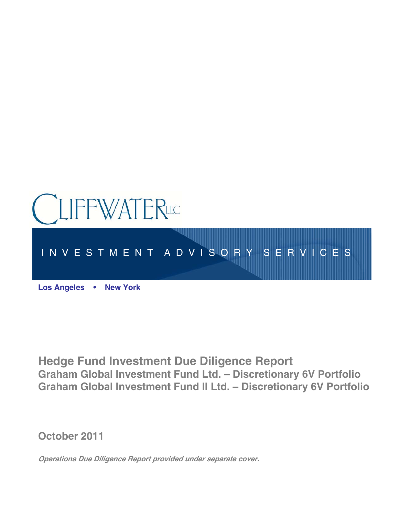

**Hedge Fund Investment Due Diligence Report Graham Global Investment Fund Ltd. – Discretionary 6V Portfolio Graham Global Investment Fund II Ltd. – Discretionary 6V Portfolio** 

**October 2011** 

**Operations Due Diligence Report provided under separate cover.**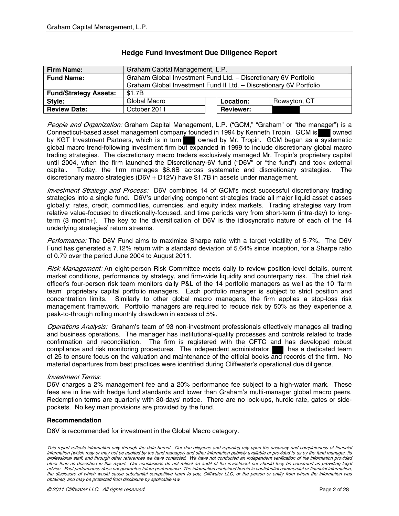| <b>Firm Name:</b>            | Graham Capital Management, L.P.                                    |  |                  |              |
|------------------------------|--------------------------------------------------------------------|--|------------------|--------------|
| <b>Fund Name:</b>            | Graham Global Investment Fund Ltd. - Discretionary 6V Portfolio    |  |                  |              |
|                              | Graham Global Investment Fund II Ltd. - Discretionary 6V Portfolio |  |                  |              |
| <b>Fund/Strategy Assets:</b> | \$1.7B                                                             |  |                  |              |
| Style:                       | Global Macro                                                       |  | Location:        | Rowayton, CT |
| <b>Review Date:</b>          | October 2011                                                       |  | <b>Reviewer:</b> |              |

# **Hedge Fund Investment Due Diligence Report**

People and Organization: Graham Capital Management, L.P. ("GCM," "Graham" or "the manager") is a Connecticut-based asset management company founded in 1994 by Kenneth Tropin. GCM is owned by KGT Investment Partners, which is in turn owned by Mr. Tropin. GCM began as a systematic global macro trend-following investment firm but expanded in 1999 to include discretionary global macro trading strategies. The discretionary macro traders exclusively managed Mr. Tropin's proprietary capital until 2004, when the firm launched the Discretionary-6V fund ("D6V" or "the fund") and took external capital. Today, the firm manages \$8.6B across systematic and discretionary strategies. The discretionary macro strategies (D6V + D12V) have \$1.7B in assets under management.

Investment Strategy and Process: D6V combines 14 of GCM's most successful discretionary trading strategies into a single fund. D6V's underlying component strategies trade all major liquid asset classes globally: rates, credit, commodities, currencies, and equity index markets. Trading strategies vary from relative value-focused to directionally-focused, and time periods vary from short-term (intra-day) to longterm (3 month+). The key to the diversification of D6V is the idiosyncratic nature of each of the 14 underlying strategies' return streams.

Performance: The D6V Fund aims to maximize Sharpe ratio with a target volatility of 5-7%. The D6V Fund has generated a 7.12% return with a standard deviation of 5.64% since inception, for a Sharpe ratio of 0.79 over the period June 2004 to August 2011.

Risk Management: An eight-person Risk Committee meets daily to review position-level details, current market conditions, performance by strategy, and firm-wide liquidity and counterparty risk. The chief risk officer's four-person risk team monitors daily P&L of the 14 portfolio managers as well as the 10 "farm team" proprietary capital portfolio managers. Each portfolio manager is subject to strict position and concentration limits. Similarly to other global macro managers, the firm applies a stop-loss risk management framework. Portfolio managers are required to reduce risk by 50% as they experience a peak-to-through rolling monthly drawdown in excess of 5%.

Operations Analysis: Graham's team of 93 non-investment professionals effectively manages all trading and business operations. The manager has institutional-quality processes and controls related to trade confirmation and reconciliation. The firm is registered with the CFTC and has developed robust compliance and risk monitoring procedures. The independent administrator, has a dedicated team of 25 to ensure focus on the valuation and maintenance of the official books and records of the firm. No material departures from best practices were identified during Cliffwater's operational due diligence.

## Investment Terms:

D6V charges a 2% management fee and a 20% performance fee subject to a high-water mark. These fees are in line with hedge fund standards and lower than Graham's multi-manager global macro peers. Redemption terms are quarterly with 30-days' notice. There are no lock-ups, hurdle rate, gates or sidepockets. No key man provisions are provided by the fund.

### **Recommendation**

D6V is recommended for investment in the Global Macro category.

This report reflects information only through the date hereof. Our due diligence and reporting rely upon the accuracy and completeness of financial information (which may or may not be audited by the fund manager) and other information publicly available or provided to us by the fund manager, its professional staff, and through other references we have contacted. We have not conducted an independent verification of the information provided other than as described in this report. Our conclusions do not reflect an audit of the investment nor should they be construed as providing legal advice. Past performance does not guarantee future performance. The information contained herein is confidential commercial or financial information, the disclosure of which would cause substantial competitive harm to you, Cliffwater LLC, or the person or entity from whom the information was obtained, and may be protected from disclosure by applicable law.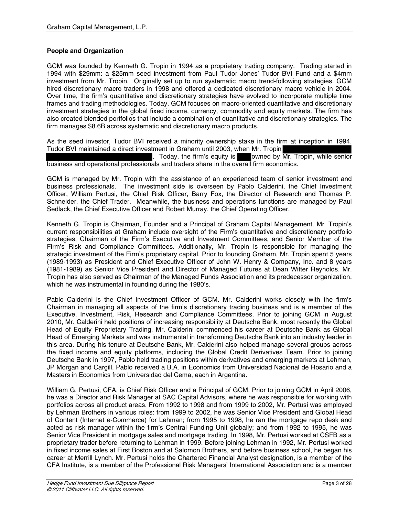# **People and Organization**

GCM was founded by Kenneth G. Tropin in 1994 as a proprietary trading company. Trading started in 1994 with \$29mm: a \$25mm seed investment from Paul Tudor Jones' Tudor BVI Fund and a \$4mm investment from Mr. Tropin. Originally set up to run systematic macro trend-following strategies, GCM hired discretionary macro traders in 1998 and offered a dedicated discretionary macro vehicle in 2004. Over time, the firm's quantitative and discretionary strategies have evolved to incorporate multiple time frames and trading methodologies. Today, GCM focuses on macro-oriented quantitative and discretionary investment strategies in the global fixed income, currency, commodity and equity markets. The firm has also created blended portfolios that include a combination of quantitative and discretionary strategies. The firm manages \$8.6B across systematic and discretionary macro products.

As the seed investor, Tudor BVI received a minority ownership stake in the firm at inception in 1994. Tudor BVI maintained a direct investment in Graham until 2003, when Mr. Tropin

Today, the firm's equity is owned by  $\overline{Mr}$ . Tropin, while senior business and operational professionals and traders share in the overall firm economics.

GCM is managed by Mr. Tropin with the assistance of an experienced team of senior investment and business professionals. The investment side is overseen by Pablo Calderini, the Chief Investment Officer, William Pertusi, the Chief Risk Officer, Barry Fox, the Director of Research and Thomas P. Schneider, the Chief Trader. Meanwhile, the business and operations functions are managed by Paul Sedlack, the Chief Executive Officer and Robert Murray, the Chief Operating Officer.

Kenneth G. Tropin is Chairman, Founder and a Principal of Graham Capital Management. Mr. Tropin's current responsibilities at Graham include oversight of the Firm's quantitative and discretionary portfolio strategies, Chairman of the Firm's Executive and Investment Committees, and Senior Member of the Firm's Risk and Compliance Committees. Additionally, Mr. Tropin is responsible for managing the strategic investment of the Firm's proprietary capital. Prior to founding Graham, Mr. Tropin spent 5 years (1989-1993) as President and Chief Executive Officer of John W. Henry & Company, Inc. and 8 years (1981-1989) as Senior Vice President and Director of Managed Futures at Dean Witter Reynolds. Mr. Tropin has also served as Chairman of the Managed Funds Association and its predecessor organization, which he was instrumental in founding during the 1980's.

Pablo Calderini is the Chief Investment Officer of GCM. Mr. Calderini works closely with the firm's Chairman in managing all aspects of the firm's discretionary trading business and is a member of the Executive, Investment, Risk, Research and Compliance Committees. Prior to joining GCM in August 2010, Mr. Calderini held positions of increasing responsibility at Deutsche Bank, most recently the Global Head of Equity Proprietary Trading. Mr. Calderini commenced his career at Deutsche Bank as Global Head of Emerging Markets and was instrumental in transforming Deutsche Bank into an industry leader in this area. During his tenure at Deutsche Bank, Mr. Calderini also helped manage several groups across the fixed income and equity platforms, including the Global Credit Derivatives Team. Prior to joining Deutsche Bank in 1997, Pablo held trading positions within derivatives and emerging markets at Lehman, JP Morgan and Cargill. Pablo received a B.A. in Economics from Universidad Nacional de Rosario and a Masters in Economics from Universidad del Cema, each in Argentina.

William G. Pertusi, CFA, is Chief Risk Officer and a Principal of GCM. Prior to joining GCM in April 2006, he was a Director and Risk Manager at SAC Capital Advisors, where he was responsible for working with portfolios across all product areas. From 1992 to 1998 and from 1999 to 2002, Mr. Pertusi was employed by Lehman Brothers in various roles: from 1999 to 2002, he was Senior Vice President and Global Head of Content (Internet e-Commerce) for Lehman; from 1995 to 1998, he ran the mortgage repo desk and acted as risk manager within the firm's Central Funding Unit globally; and from 1992 to 1995, he was Senior Vice President in mortgage sales and mortgage trading. In 1998, Mr. Pertusi worked at CSFB as a proprietary trader before returning to Lehman in 1999. Before joining Lehman in 1992, Mr. Pertusi worked in fixed income sales at First Boston and at Salomon Brothers, and before business school, he began his career at Merrill Lynch. Mr. Pertusi holds the Chartered Financial Analyst designation, is a member of the CFA Institute, is a member of the Professional Risk Managers' International Association and is a member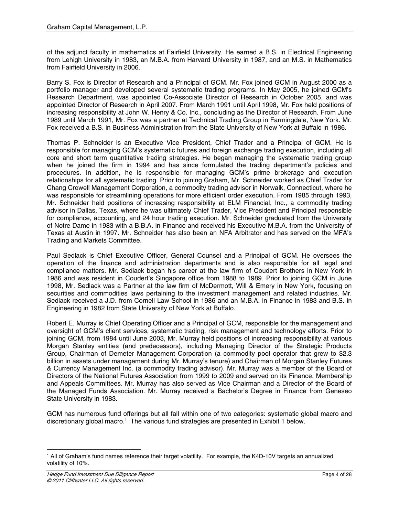of the adjunct faculty in mathematics at Fairfield University. He earned a B.S. in Electrical Engineering from Lehigh University in 1983, an M.B.A. from Harvard University in 1987, and an M.S. in Mathematics from Fairfield University in 2006.

Barry S. Fox is Director of Research and a Principal of GCM. Mr. Fox joined GCM in August 2000 as a portfolio manager and developed several systematic trading programs. In May 2005, he joined GCM's Research Department, was appointed Co-Associate Director of Research in October 2005, and was appointed Director of Research in April 2007. From March 1991 until April 1998, Mr. Fox held positions of increasing responsibility at John W. Henry & Co. Inc., concluding as the Director of Research. From June 1989 until March 1991, Mr. Fox was a partner at Technical Trading Group in Farmingdale, New York. Mr. Fox received a B.S. in Business Administration from the State University of New York at Buffalo in 1986.

Thomas P. Schneider is an Executive Vice President, Chief Trader and a Principal of GCM. He is responsible for managing GCM's systematic futures and foreign exchange trading execution, including all core and short term quantitative trading strategies. He began managing the systematic trading group when he joined the firm in 1994 and has since formulated the trading department's policies and procedures. In addition, he is responsible for managing GCM's prime brokerage and execution relationships for all systematic trading. Prior to joining Graham, Mr. Schneider worked as Chief Trader for Chang Crowell Management Corporation, a commodity trading advisor in Norwalk, Connecticut, where he was responsible for streamlining operations for more efficient order execution. From 1985 through 1993, Mr. Schneider held positions of increasing responsibility at ELM Financial, Inc., a commodity trading advisor in Dallas, Texas, where he was ultimately Chief Trader, Vice President and Principal responsible for compliance, accounting, and 24 hour trading execution. Mr. Schneider graduated from the University of Notre Dame in 1983 with a B.B.A. in Finance and received his Executive M.B.A. from the University of Texas at Austin in 1997. Mr. Schneider has also been an NFA Arbitrator and has served on the MFA's Trading and Markets Committee.

Paul Sedlack is Chief Executive Officer, General Counsel and a Principal of GCM. He oversees the operation of the finance and administration departments and is also responsible for all legal and compliance matters. Mr. Sedlack began his career at the law firm of Coudert Brothers in New York in 1986 and was resident in Coudert's Singapore office from 1988 to 1989. Prior to joining GCM in June 1998, Mr. Sedlack was a Partner at the law firm of McDermott, Will & Emery in New York, focusing on securities and commodities laws pertaining to the investment management and related industries. Mr. Sedlack received a J.D. from Cornell Law School in 1986 and an M.B.A. in Finance in 1983 and B.S. in Engineering in 1982 from State University of New York at Buffalo.

Robert E. Murray is Chief Operating Officer and a Principal of GCM, responsible for the management and oversight of GCM's client services, systematic trading, risk management and technology efforts. Prior to joining GCM, from 1984 until June 2003, Mr. Murray held positions of increasing responsibility at various Morgan Stanley entities (and predecessors), including Managing Director of the Strategic Products Group, Chairman of Demeter Management Corporation (a commodity pool operator that grew to \$2.3 billion in assets under management during Mr. Murray's tenure) and Chairman of Morgan Stanley Futures & Currency Management Inc. (a commodity trading advisor). Mr. Murray was a member of the Board of Directors of the National Futures Association from 1999 to 2009 and served on its Finance, Membership and Appeals Committees. Mr. Murray has also served as Vice Chairman and a Director of the Board of the Managed Funds Association. Mr. Murray received a Bachelor's Degree in Finance from Geneseo State University in 1983.

GCM has numerous fund offerings but all fall within one of two categories: systematic global macro and discretionary global macro.<sup>1</sup> The various fund strategies are presented in Exhibit 1 below.

 $\overline{a}$ 

<sup>1</sup> All of Graham's fund names reference their target volatility. For example, the K4D-10V targets an annualized volatility of 10%.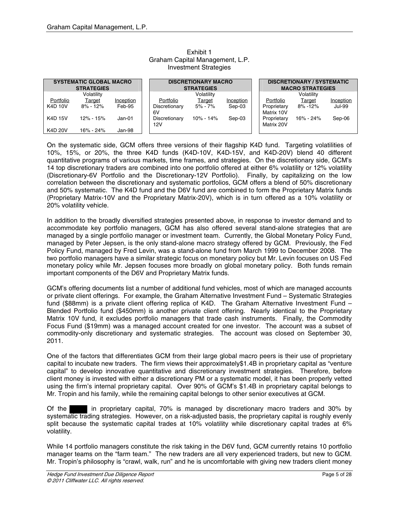| <b>SYSTEMATIC GLOBAL MACRO</b><br><b>STRATEGIES</b> |               |           | <b>DISCRETIONARY MACRO</b><br><b>STRATEGIES</b> |               |           | <b>DISCRETIONARY / SYSTEMATIC</b><br><b>MACRO STRATEGIES</b> |                           |               |               |
|-----------------------------------------------------|---------------|-----------|-------------------------------------------------|---------------|-----------|--------------------------------------------------------------|---------------------------|---------------|---------------|
|                                                     | Volatilitv    |           |                                                 | Volatility    |           |                                                              |                           | Volatility    |               |
| Portfolio                                           | Target        | Inception | Portfolio                                       | Target        | Inception |                                                              | Portfolio                 | Target        | Inception     |
| <b>K4D 10V</b>                                      | $8\% - 12\%$  | Feb-95    | Discretionary<br>6V                             | $5\% - 7\%$   | Sep-03    |                                                              | Proprietary<br>Matrix 10V | $8\% - 12\%$  | <b>Jul-99</b> |
| <b>K4D 15V</b>                                      | $12\% - 15\%$ | Jan-01    | Discretionary<br>12V                            | $10\% - 14\%$ | Sep-03    |                                                              | Proprietary<br>Matrix 20V | $16\% - 24\%$ | Sep-06        |
| <b>K4D 20V</b>                                      | 16% - 24%     | Jan-98    |                                                 |               |           |                                                              |                           |               |               |

## Exhibit 1 Graham Capital Management, L.P. Investment Strategies

On the systematic side, GCM offers three versions of their flagship K4D fund. Targeting volatilities of 10%, 15%, or 20%, the three K4D funds (K4D-10V, K4D-15V, and K4D-20V) blend 40 different quantitative programs of various markets, time frames, and strategies. On the discretionary side, GCM's 14 top discretionary traders are combined into one portfolio offered at either 6% volatility or 12% volatility (Discretionary-6V Portfolio and the Discretionary-12V Portfolio). Finally, by capitalizing on the low correlation between the discretionary and systematic portfolios, GCM offers a blend of 50% discretionary and 50% systematic. The K4D fund and the D6V fund are combined to form the Proprietary Matrix funds (Proprietary Matrix-10V and the Proprietary Matrix-20V), which is in turn offered as a 10% volatility or 20% volatility vehicle.

In addition to the broadly diversified strategies presented above, in response to investor demand and to accommodate key portfolio managers, GCM has also offered several stand-alone strategies that are managed by a single portfolio manager or investment team. Currently, the Global Monetary Policy Fund, managed by Peter Jepsen, is the only stand-alone macro strategy offered by GCM. Previously, the Fed Policy Fund, managed by Fred Levin, was a stand-alone fund from March 1999 to December 2008. The two portfolio managers have a similar strategic focus on monetary policy but Mr. Levin focuses on US Fed monetary policy while Mr. Jepsen focuses more broadly on global monetary policy. Both funds remain important components of the D6V and Proprietary Matrix funds.

GCM's offering documents list a number of additional fund vehicles, most of which are managed accounts or private client offerings. For example, the Graham Alternative Investment Fund – Systematic Strategies fund (\$88mm) is a private client offering replica of K4D. The Graham Alternative Investment Fund – Blended Portfolio fund (\$450mm) is another private client offering. Nearly identical to the Proprietary Matrix 10V fund, it excludes portfolio managers that trade cash instruments. Finally, the Commodity Focus Fund (\$19mm) was a managed account created for one investor. The account was a subset of commodity-only discretionary and systematic strategies. The account was closed on September 30, 2011.

One of the factors that differentiates GCM from their large global macro peers is their use of proprietary capital to incubate new traders. The firm views their approximately\$1.4B in proprietary capital as "venture capital" to develop innovative quantitative and discretionary investment strategies. Therefore, before client money is invested with either a discretionary PM or a systematic model, it has been properly vetted using the firm's internal proprietary capital. Over 90% of GCM's \$1.4B in proprietary capital belongs to Mr. Tropin and his family, while the remaining capital belongs to other senior executives at GCM.

Of the in proprietary capital, 70% is managed by discretionary macro traders and 30% by systematic trading strategies. However, on a risk-adjusted basis, the proprietary capital is roughly evenly split because the systematic capital trades at 10% volatility while discretionary capital trades at 6% volatility.

While 14 portfolio managers constitute the risk taking in the D6V fund, GCM currently retains 10 portfolio manager teams on the "farm team." The new traders are all very experienced traders, but new to GCM. Mr. Tropin's philosophy is "crawl, walk, run" and he is uncomfortable with giving new traders client money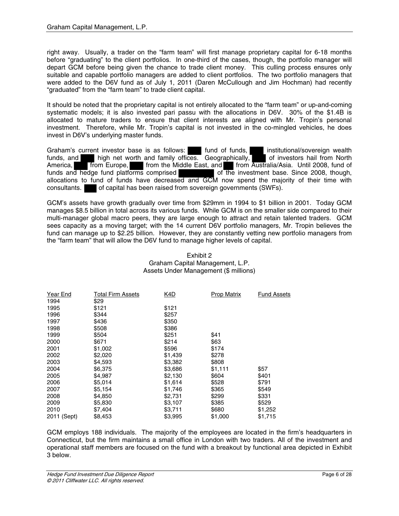right away. Usually, a trader on the "farm team" will first manage proprietary capital for 6-18 months before "graduating" to the client portfolios. In one-third of the cases, though, the portfolio manager will depart GCM before being given the chance to trade client money. This culling process ensures only suitable and capable portfolio managers are added to client portfolios. The two portfolio managers that were added to the D6V fund as of July 1, 2011 (Daren McCullough and Jim Hochman) had recently "graduated" from the "farm team" to trade client capital.

It should be noted that the proprietary capital is not entirely allocated to the "farm team" or up-and-coming systematic models; it is also invested pari passu with the allocations in D6V. 30% of the \$1.4B is allocated to mature traders to ensure that client interests are aligned with Mr. Tropin's personal investment. Therefore, while Mr. Tropin's capital is not invested in the co-mingled vehicles, he does invest in D6V's underlying master funds.

Graham's current investor base is as follows: fund of funds, institutional/sovereign wealth funds, and inigh net worth and family offices. Geographically, high net worth and family offices. Geographically, America, **from Europe,** from the Middle East, and from Australia/Asia. Until 2008, fund of funds and hedge fund platforms comprised of the investment base. Since 2008, though, allocations to fund of funds have decreased and GCM now spend the majority of their time with consultants. of capital has been raised from sovereign governments (SWFs).

GCM's assets have growth gradually over time from \$29mm in 1994 to \$1 billion in 2001. Today GCM manages \$8.5 billion in total across its various funds. While GCM is on the smaller side compared to their multi-manager global macro peers, they are large enough to attract and retain talented traders. GCM sees capacity as a moving target; with the 14 current D6V portfolio managers, Mr. Tropin believes the fund can manage up to \$2.25 billion. However, they are constantly vetting new portfolio managers from the "farm team" that will allow the D6V fund to manage higher levels of capital.

| Year End       | <b>Total Firm Assets</b> | <u>K4D</u> | <b>Prop Matrix</b> | <b>Fund Assets</b> |
|----------------|--------------------------|------------|--------------------|--------------------|
| 1994           | \$29                     |            |                    |                    |
| 1995           | \$121                    | \$121      |                    |                    |
| 1996           | \$344                    | \$257      |                    |                    |
| 1997           | \$436                    | \$350      |                    |                    |
| 1998           | \$508                    | \$386      |                    |                    |
| 1999           | \$504                    | \$251      | \$41               |                    |
| 2000           | \$671                    | \$214      | \$63               |                    |
| 2001           | \$1,002                  | \$596      | \$174              |                    |
| 2002           | \$2,020                  | \$1,439    | \$278              |                    |
| 2003           | \$4,593                  | \$3,382    | \$808              |                    |
| 2004           | \$6,375                  | \$3,686    | \$1,111            | \$57               |
| 2005           | \$4,987                  | \$2,130    | \$604              | \$401              |
| 2006           | \$5,014                  | \$1,614    | \$528              | \$791              |
| 2007           | \$5,154                  | \$1,746    | \$365              | \$549              |
| 2008           | \$4,850                  | \$2,731    | \$299              | \$331              |
| 2009           | \$5,830                  | \$3,107    | \$385              | \$529              |
| 2010           | \$7,404                  | \$3,711    | \$680              | \$1,252            |
| (Sept)<br>2011 | \$8,453                  | \$3,995    | \$1,000            | \$1,715            |

#### Exhibit 2 Graham Capital Management, L.P. Assets Under Management (\$ millions)

GCM employs 188 individuals. The majority of the employees are located in the firm's headquarters in Connecticut, but the firm maintains a small office in London with two traders. All of the investment and operational staff members are focused on the fund with a breakout by functional area depicted in Exhibit 3 below.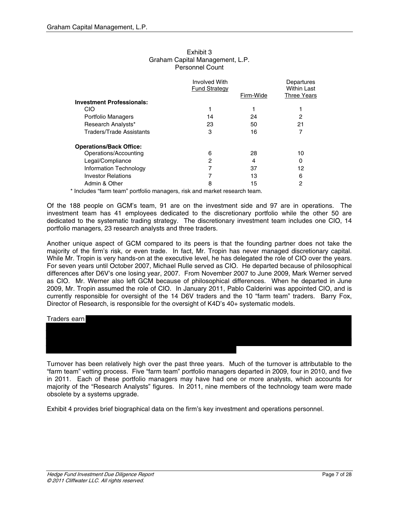|                                  | <b>Involved With</b><br><b>Fund Strategy</b> |           | Departures<br><b>Within Last</b> |
|----------------------------------|----------------------------------------------|-----------|----------------------------------|
|                                  |                                              | Firm-Wide | <b>Three Years</b>               |
| <b>Investment Professionals:</b> |                                              |           |                                  |
| CIO                              |                                              |           |                                  |
| Portfolio Managers               | 14                                           | 24        | 2                                |
| Research Analysts*               | 23                                           | 50        | 21                               |
| Traders/Trade Assistants         | 3                                            | 16        |                                  |
| <b>Operations/Back Office:</b>   |                                              |           |                                  |
| Operations/Accounting            | 6                                            | 28        | 10                               |
| Legal/Compliance                 | 2                                            | 4         | 0                                |
| Information Technology           |                                              | 37        | 12                               |
| <b>Investor Relations</b>        |                                              | 13        | 6                                |
| Admin & Other                    | 8                                            | 15        | 2                                |

#### Exhibit 3 Graham Capital Management, L.P. Personnel Count

\* Includes "farm team" portfolio managers, risk and market research team.

Of the 188 people on GCM's team, 91 are on the investment side and 97 are in operations. The investment team has 41 employees dedicated to the discretionary portfolio while the other 50 are dedicated to the systematic trading strategy. The discretionary investment team includes one CIO, 14 portfolio managers, 23 research analysts and three traders.

Another unique aspect of GCM compared to its peers is that the founding partner does not take the majority of the firm's risk, or even trade. In fact, Mr. Tropin has never managed discretionary capital. While Mr. Tropin is very hands-on at the executive level, he has delegated the role of CIO over the years. For seven years until October 2007, Michael Rulle served as CIO. He departed because of philosophical differences after D6V's one losing year, 2007. From November 2007 to June 2009, Mark Werner served as CIO. Mr. Werner also left GCM because of philosophical differences. When he departed in June 2009, Mr. Tropin assumed the role of CIO. In January 2011, Pablo Calderini was appointed CIO, and is currently responsible for oversight of the 14 D6V traders and the 10 "farm team" traders. Barry Fox, Director of Research, is responsible for the oversight of K4D's 40+ systematic models.



Turnover has been relatively high over the past three years. Much of the turnover is attributable to the "farm team" vetting process. Five "farm team" portfolio managers departed in 2009, four in 2010, and five in 2011. Each of these portfolio managers may have had one or more analysts, which accounts for majority of the "Research Analysts" figures. In 2011, nine members of the technology team were made obsolete by a systems upgrade.

Exhibit 4 provides brief biographical data on the firm's key investment and operations personnel.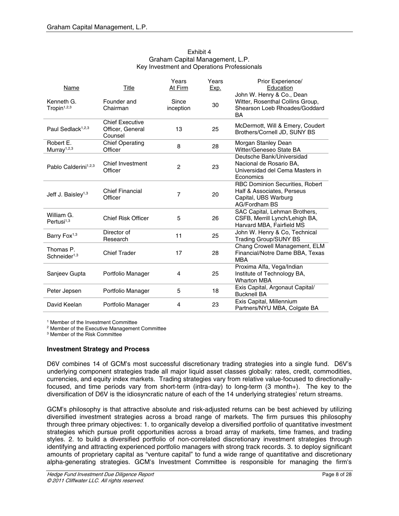| Exhibit 4                                   |
|---------------------------------------------|
| Graham Capital Management, L.P.             |
| Key Investment and Operations Professionals |

| Name                                  | Title                                                 | Years<br>At Firm   | Years<br>Exp. | Prior Experience/<br>Education<br>John W. Henry & Co., Dean                                                   |
|---------------------------------------|-------------------------------------------------------|--------------------|---------------|---------------------------------------------------------------------------------------------------------------|
| Kenneth G.<br>Tropin <sup>1,2,3</sup> | Founder and<br>Chairman                               | Since<br>inception | 30            | Witter, Rosenthal Collins Group,<br>Shearson Loeb Rhoades/Goddard<br>BA                                       |
| Paul Sedlack <sup>1,2,3</sup>         | <b>Chief Executive</b><br>Officer, General<br>Counsel | 13                 | 25            | McDermott, Will & Emery, Coudert<br>Brothers/Cornell JD, SUNY BS                                              |
| Robert E.<br>Murray <sup>1,2,3</sup>  | <b>Chief Operating</b><br>Officer                     | 8                  | 28            | Morgan Stanley Dean<br>Witter/Geneseo State BA                                                                |
| Pablo Calderini <sup>1,2,3</sup>      | Chief Investment<br>Officer                           | $\overline{c}$     | 23            | Deutsche Bank/Universidad<br>Nacional de Rosario BA,<br>Universidad del Cema Masters in<br>Economics          |
| Jeff J. Baisley <sup>1,3</sup>        | <b>Chief Financial</b><br>Officer                     | $\overline{7}$     | 20            | RBC Dominion Securities, Robert<br>Half & Associates, Perseus<br>Capital, UBS Warburg<br><b>AG/Fordham BS</b> |
| William G.<br>Pertusi $1,3$           | <b>Chief Risk Officer</b>                             | 5                  | 26            | SAC Capital, Lehman Brothers,<br>CSFB, Merrill Lynch/Lehigh BA,<br>Harvard MBA, Fairfield MS                  |
| Barry Fox <sup>1,3</sup>              | Director of<br>Research                               | 11                 | 25            | John W. Henry & Co, Technical<br><b>Trading Group/SUNY BS</b>                                                 |
| Thomas P.<br>Schneider <sup>1,3</sup> | <b>Chief Trader</b>                                   | 17                 | 28            | Chang Crowell Management, ELM<br>Financial/Notre Dame BBA, Texas<br><b>MBA</b>                                |
| Sanjeev Gupta                         | Portfolio Manager                                     | 4                  | 25            | Proxima Alfa, Vega/Indian<br>Institute of Technology BA,<br><b>Wharton MBA</b>                                |
| Peter Jepsen                          | Portfolio Manager                                     | 5                  | 18            | Exis Capital, Argonaut Capital/<br><b>Bucknell BA</b>                                                         |
| David Keelan                          | Portfolio Manager                                     | 4                  | 23            | Exis Capital, Millennium<br>Partners/NYU MBA, Colgate BA                                                      |

1 Member of the Investment Committee

<sup>2</sup> Member of the Executive Management Committee

3 Member of the Risk Committee

### **Investment Strategy and Process**

D6V combines 14 of GCM's most successful discretionary trading strategies into a single fund. D6V's underlying component strategies trade all major liquid asset classes globally: rates, credit, commodities, currencies, and equity index markets. Trading strategies vary from relative value-focused to directionallyfocused, and time periods vary from short-term (intra-day) to long-term (3 month+). The key to the diversification of D6V is the idiosyncratic nature of each of the 14 underlying strategies' return streams.

GCM's philosophy is that attractive absolute and risk-adjusted returns can be best achieved by utilizing diversified investment strategies across a broad range of markets. The firm pursues this philosophy through three primary objectives: 1. to organically develop a diversified portfolio of quantitative investment strategies which pursue profit opportunities across a broad array of markets, time frames, and trading styles. 2. to build a diversified portfolio of non-correlated discretionary investment strategies through identifying and attracting experienced portfolio managers with strong track records. 3. to deploy significant amounts of proprietary capital as "venture capital" to fund a wide range of quantitative and discretionary alpha-generating strategies. GCM's Investment Committee is responsible for managing the firm's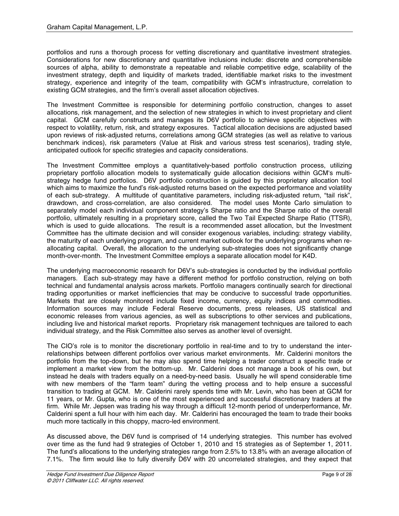portfolios and runs a thorough process for vetting discretionary and quantitative investment strategies. Considerations for new discretionary and quantitative inclusions include: discrete and comprehensible sources of alpha, ability to demonstrate a repeatable and reliable competitive edge, scalability of the investment strategy, depth and liquidity of markets traded, identifiable market risks to the investment strategy, experience and integrity of the team, compatibility with GCM's infrastructure, correlation to existing GCM strategies, and the firm's overall asset allocation objectives.

The Investment Committee is responsible for determining portfolio construction, changes to asset allocations, risk management, and the selection of new strategies in which to invest proprietary and client capital. GCM carefully constructs and manages its D6V portfolio to achieve specific objectives with respect to volatility, return, risk, and strategy exposures. Tactical allocation decisions are adjusted based upon reviews of risk-adjusted returns, correlations among GCM strategies (as well as relative to various benchmark indices), risk parameters (Value at Risk and various stress test scenarios), trading style, anticipated outlook for specific strategies and capacity considerations.

The Investment Committee employs a quantitatively-based portfolio construction process, utilizing proprietary portfolio allocation models to systematically guide allocation decisions within GCM's multistrategy hedge fund portfolios. D6V portfolio construction is guided by this proprietary allocation tool which aims to maximize the fund's risk-adjusted returns based on the expected performance and volatility of each sub-strategy. A multitude of quantitative parameters, including risk-adjusted return, "tail risk", drawdown, and cross-correlation, are also considered. The model uses Monte Carlo simulation to separately model each individual component strategy's Sharpe ratio and the Sharpe ratio of the overall portfolio, ultimately resulting in a proprietary score, called the Two Tail Expected Sharpe Ratio (TTSR), which is used to guide allocations. The result is a recommended asset allocation, but the Investment Committee has the ultimate decision and will consider exogenous variables, including: strategy viability, the maturity of each underlying program, and current market outlook for the underlying programs when reallocating capital. Overall, the allocation to the underlying sub-strategies does not significantly change month-over-month. The Investment Committee employs a separate allocation model for K4D.

The underlying macroeconomic research for D6V's sub-strategies is conducted by the individual portfolio managers. Each sub-strategy may have a different method for portfolio construction, relying on both technical and fundamental analysis across markets. Portfolio managers continually search for directional trading opportunities or market inefficiencies that may be conducive to successful trade opportunities. Markets that are closely monitored include fixed income, currency, equity indices and commodities. Information sources may include Federal Reserve documents, press releases, US statistical and economic releases from various agencies, as well as subscriptions to other services and publications, including live and historical market reports. Proprietary risk management techniques are tailored to each individual strategy, and the Risk Committee also serves as another level of oversight.

The CIO's role is to monitor the discretionary portfolio in real-time and to try to understand the interrelationships between different portfolios over various market environments. Mr. Calderini monitors the portfolio from the top-down, but he may also spend time helping a trader construct a specific trade or implement a market view from the bottom-up. Mr. Calderini does not manage a book of his own, but instead he deals with traders equally on a need-by-need basis. Usually he will spend considerable time with new members of the "farm team" during the vetting process and to help ensure a successful transition to trading at GCM. Mr. Calderini rarely spends time with Mr. Levin, who has been at GCM for 11 years, or Mr. Gupta, who is one of the most experienced and successful discretionary traders at the firm. While Mr. Jepsen was trading his way through a difficult 12-month period of underperformance, Mr. Calderini spent a full hour with him each day. Mr. Calderini has encouraged the team to trade their books much more tactically in this choppy, macro-led environment.

As discussed above, the D6V fund is comprised of 14 underlying strategies. This number has evolved over time as the fund had 9 strategies of October 1, 2010 and 15 strategies as of September 1, 2011. The fund's allocations to the underlying strategies range from 2.5% to 13.8% with an average allocation of 7.1%. The firm would like to fully diversify D6V with 20 uncorrelated strategies, and they expect that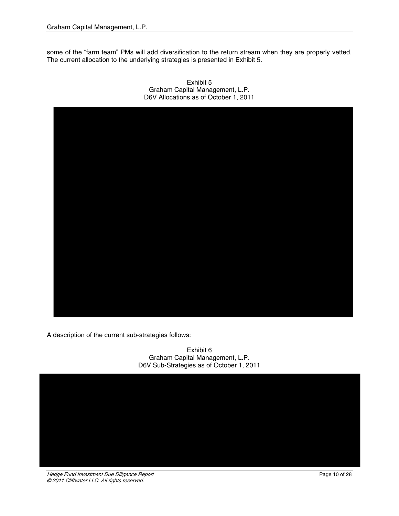some of the "farm team" PMs will add diversification to the return stream when they are properly vetted. The current allocation to the underlying strategies is presented in Exhibit 5.



Exhibit 5 Graham Capital Management, L.P. D6V Allocations as of October 1, 2011

A description of the current sub-strategies follows:

Exhibit 6 Graham Capital Management, L.P. D6V Sub-Strategies as of October 1, 2011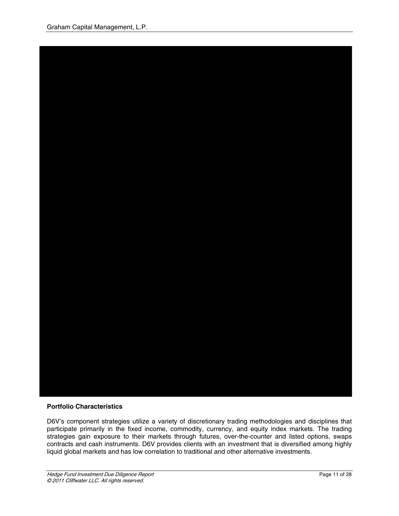

# **Portfolio Characteristics**

D6V's component strategies utilize a variety of discretionary trading methodologies and disciplines that participate primarily in the fixed income, commodity, currency, and equity index markets. The trading strategies gain exposure to their markets through futures, over-the-counter and listed options, swaps contracts and cash instruments. D6V provides clients with an investment that is diversified among highly liquid global markets and has low correlation to traditional and other alternative investments.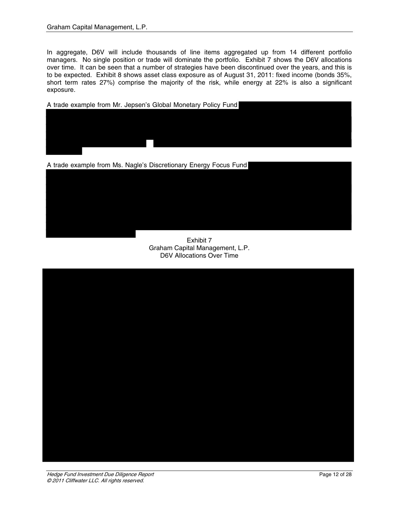In aggregate, D6V will include thousands of line items aggregated up from 14 different portfolio managers. No single position or trade will dominate the portfolio. Exhibit 7 shows the D6V allocations over time. It can be seen that a number of strategies have been discontinued over the years, and this is to be expected. Exhibit 8 shows asset class exposure as of August 31, 2011: fixed income (bonds 35%, short term rates 27%) comprise the majority of the risk, while energy at 22% is also a significant exposure.

A trade example from Mr. Jepsen's Global Monetary Policy Fund



A trade example from Ms. Nagle's Discretionary Energy Focus Fund

Exhibit 7 Graham Capital Management, L.P. D6V Allocations Over Time

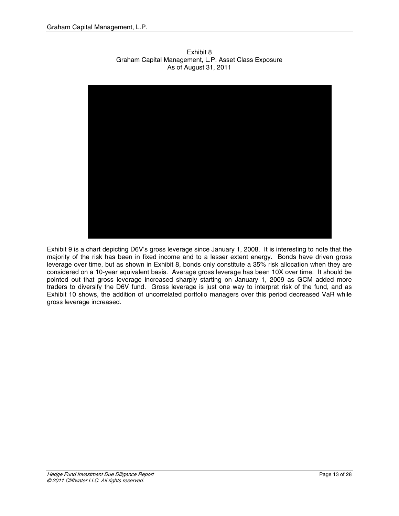

Exhibit 8 Graham Capital Management, L.P. Asset Class Exposure As of August 31, 2011

Exhibit 9 is a chart depicting D6V's gross leverage since January 1, 2008. It is interesting to note that the majority of the risk has been in fixed income and to a lesser extent energy. Bonds have driven gross leverage over time, but as shown in Exhibit 8, bonds only constitute a 35% risk allocation when they are considered on a 10-year equivalent basis. Average gross leverage has been 10X over time. It should be pointed out that gross leverage increased sharply starting on January 1, 2009 as GCM added more traders to diversify the D6V fund. Gross leverage is just one way to interpret risk of the fund, and as Exhibit 10 shows, the addition of uncorrelated portfolio managers over this period decreased VaR while gross leverage increased.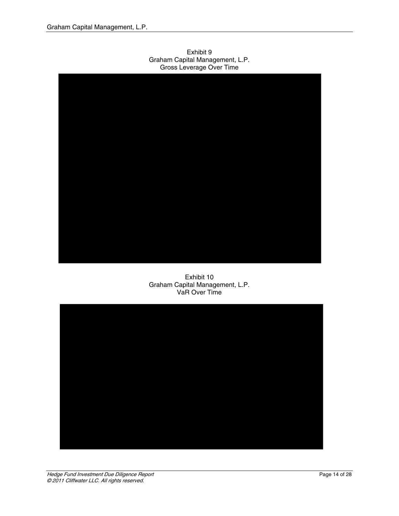Exhibit 9 Graham Capital Management, L.P. Gross Leverage Over Time



Exhibit 10 Graham Capital Management, L.P. VaR Over Time

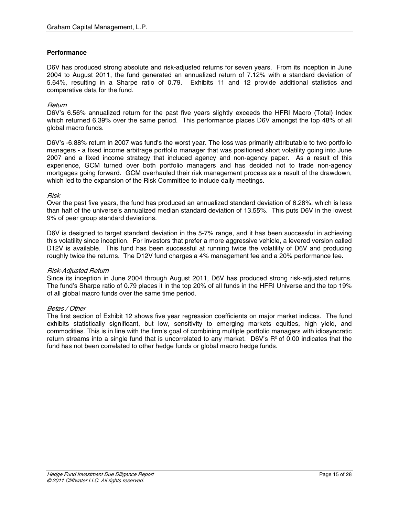## **Performance**

D6V has produced strong absolute and risk-adjusted returns for seven years. From its inception in June 2004 to August 2011, the fund generated an annualized return of 7.12% with a standard deviation of 5.64%, resulting in a Sharpe ratio of 0.79. Exhibits 11 and 12 provide additional statistics and comparative data for the fund.

## Return

D6V's 6.56% annualized return for the past five years slightly exceeds the HFRI Macro (Total) Index which returned 6.39% over the same period. This performance places D6V amongst the top 48% of all global macro funds.

D6V's -6.88% return in 2007 was fund's the worst year. The loss was primarily attributable to two portfolio managers - a fixed income arbitrage portfolio manager that was positioned short volatility going into June 2007 and a fixed income strategy that included agency and non-agency paper. As a result of this experience, GCM turned over both portfolio managers and has decided not to trade non-agency mortgages going forward. GCM overhauled their risk management process as a result of the drawdown, which led to the expansion of the Risk Committee to include daily meetings.

#### Risk

Over the past five years, the fund has produced an annualized standard deviation of 6.28%, which is less than half of the universe's annualized median standard deviation of 13.55%. This puts D6V in the lowest 9% of peer group standard deviations.

D6V is designed to target standard deviation in the 5-7% range, and it has been successful in achieving this volatility since inception. For investors that prefer a more aggressive vehicle, a levered version called D12V is available. This fund has been successful at running twice the volatility of D6V and producing roughly twice the returns. The D12V fund charges a 4% management fee and a 20% performance fee.

### Risk-Adjusted Return

Since its inception in June 2004 through August 2011, D6V has produced strong risk-adjusted returns. The fund's Sharpe ratio of 0.79 places it in the top 20% of all funds in the HFRI Universe and the top 19% of all global macro funds over the same time period.

### Betas / Other

The first section of Exhibit 12 shows five year regression coefficients on major market indices. The fund exhibits statistically significant, but low, sensitivity to emerging markets equities, high yield, and commodities. This is in line with the firm's goal of combining multiple portfolio managers with idiosyncratic return streams into a single fund that is uncorrelated to any market. D6V's  $R^2$  of 0.00 indicates that the fund has not been correlated to other hedge funds or global macro hedge funds.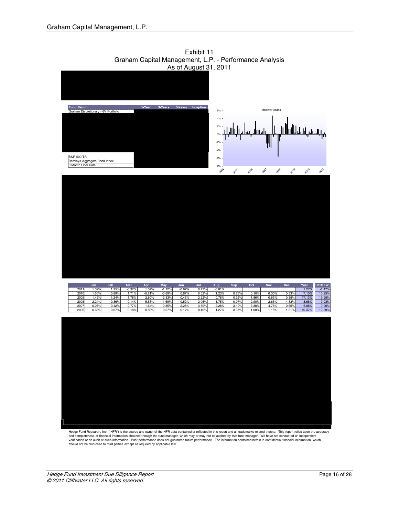![](_page_15_Figure_1.jpeg)

Exhibit 11 Graham Capital Management, L.P. - Performance Analysis As of August 31, 2011

Hedge Fund Research, Inc. ("HFR") is the source and owner of the HFR data contained or reflected in this report and all trademarks related thereto. This report relies upon the accuracy<br>and completeness of financial informa verification or an audit of such information. Past performance does not guarantee future performance. The information contained herein is confidential financial information, which<br>should not be disclosed to third parties e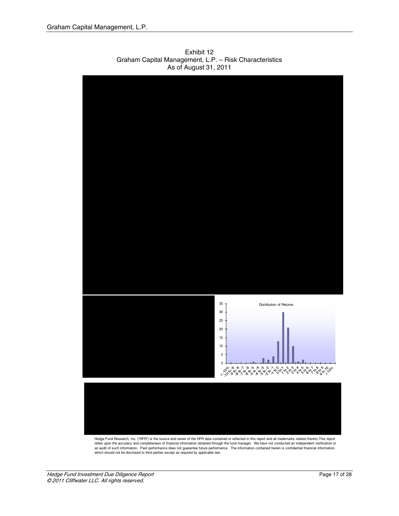![](_page_16_Figure_1.jpeg)

Exhibit 12 Graham Capital Management, L.P. – Risk Characteristics As of August 31, 2011

Hedge Fund Research, Inc. ("HFR") is the source and owner of the HFR data contained or reflected in this report and all trademarks related thereto.This report relies upon the accuracy and completeness of financial information obtained through the fund manager. We have not conducted an independent verification or an audit of such information. Past performance does not guarantee future performance. The information contained herein is confidential financial information,<br>which should not be disclosed to third parties except as require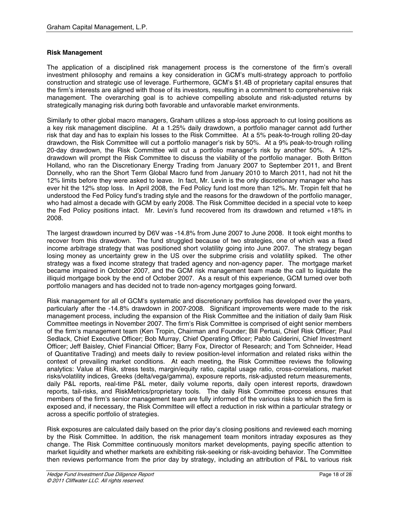# **Risk Management**

The application of a disciplined risk management process is the cornerstone of the firm's overall investment philosophy and remains a key consideration in GCM's multi-strategy approach to portfolio construction and strategic use of leverage. Furthermore, GCM's \$1.4B of proprietary capital ensures that the firm's interests are aligned with those of its investors, resulting in a commitment to comprehensive risk management. The overarching goal is to achieve compelling absolute and risk-adjusted returns by strategically managing risk during both favorable and unfavorable market environments.

Similarly to other global macro managers, Graham utilizes a stop-loss approach to cut losing positions as a key risk management discipline. At a 1.25% daily drawdown, a portfolio manager cannot add further risk that day and has to explain his losses to the Risk Committee. At a 5% peak-to-trough rolling 20-day drawdown, the Risk Committee will cut a portfolio manager's risk by 50%. At a 9% peak-to-trough rolling 20-day drawdown, the Risk Committee will cut a portfolio manager's risk by another 50%. A 12% drawdown will prompt the Risk Committee to discuss the viability of the portfolio manager. Both Britton Holland, who ran the Discretionary Energy Trading from January 2007 to September 2011, and Brent Donnelly, who ran the Short Term Global Macro fund from January 2010 to March 2011, had not hit the 12% limits before they were asked to leave. In fact, Mr. Levin is the only discretionary manager who has ever hit the 12% stop loss. In April 2008, the Fed Policy fund lost more than 12%. Mr. Tropin felt that he understood the Fed Policy fund's trading style and the reasons for the drawdown of the portfolio manager, who had almost a decade with GCM by early 2008. The Risk Committee decided in a special vote to keep the Fed Policy positions intact. Mr. Levin's fund recovered from its drawdown and returned +18% in 2008.

The largest drawdown incurred by D6V was -14.8% from June 2007 to June 2008. It took eight months to recover from this drawdown. The fund struggled because of two strategies, one of which was a fixed income arbitrage strategy that was positioned short volatility going into June 2007. The strategy began losing money as uncertainty grew in the US over the subprime crisis and volatility spiked. The other strategy was a fixed income strategy that traded agency and non-agency paper. The mortgage market became impaired in October 2007, and the GCM risk management team made the call to liquidate the illiquid mortgage book by the end of October 2007. As a result of this experience, GCM turned over both portfolio managers and has decided not to trade non-agency mortgages going forward.

Risk management for all of GCM's systematic and discretionary portfolios has developed over the years, particularly after the -14.8% drawdown in 2007-2008. Significant improvements were made to the risk management process, including the expansion of the Risk Committee and the initiation of daily 9am Risk Committee meetings in November 2007. The firm's Risk Committee is comprised of eight senior members of the firm's management team (Ken Tropin, Chairman and Founder; Bill Pertusi, Chief Risk Officer; Paul Sedlack, Chief Executive Officer; Bob Murray, Chief Operating Officer; Pablo Calderini, Chief Investment Officer; Jeff Baisley, Chief Financial Officer; Barry Fox, Director of Research; and Tom Schneider, Head of Quantitative Trading) and meets daily to review position-level information and related risks within the context of prevailing market conditions. At each meeting, the Risk Committee reviews the following analytics: Value at Risk, stress tests, margin/equity ratio, capital usage ratio, cross-correlations, market risks/volatility indices, Greeks (delta/vega/gamma), exposure reports, risk-adjusted return measurements, daily P&L reports, real-time P&L meter, daily volume reports, daily open interest reports, drawdown reports, tail-risks, and RiskMetrics/proprietary tools. The daily Risk Committee process ensures that members of the firm's senior management team are fully informed of the various risks to which the firm is exposed and, if necessary, the Risk Committee will effect a reduction in risk within a particular strategy or across a specific portfolio of strategies.

Risk exposures are calculated daily based on the prior day's closing positions and reviewed each morning by the Risk Committee. In addition, the risk management team monitors intraday exposures as they change. The Risk Committee continuously monitors market developments, paying specific attention to market liquidity and whether markets are exhibiting risk-seeking or risk-avoiding behavior. The Committee then reviews performance from the prior day by strategy, including an attribution of P&L to various risk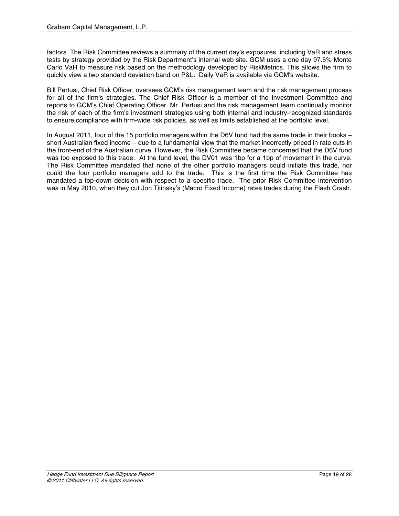factors. The Risk Committee reviews a summary of the current day's exposures, including VaR and stress tests by strategy provided by the Risk Department's internal web site. GCM uses a one day 97.5% Monte Carlo VaR to measure risk based on the methodology developed by RiskMetrics. This allows the firm to quickly view a two standard deviation band on P&L. Daily VaR is available via GCM's website.

Bill Pertusi, Chief Risk Officer, oversees GCM's risk management team and the risk management process for all of the firm's strategies. The Chief Risk Officer is a member of the Investment Committee and reports to GCM's Chief Operating Officer. Mr. Pertusi and the risk management team continually monitor the risk of each of the firm's investment strategies using both internal and industry-recognized standards to ensure compliance with firm-wide risk policies, as well as limits established at the portfolio level.

In August 2011, four of the 15 portfolio managers within the D6V fund had the same trade in their books – short Australian fixed income – due to a fundamental view that the market incorrectly priced in rate cuts in the front-end of the Australian curve. However, the Risk Committee became concerned that the D6V fund was too exposed to this trade. At the fund level, the DV01 was 1bp for a 1bp of movement in the curve. The Risk Committee mandated that none of the other portfolio managers could initiate this trade, nor could the four portfolio managers add to the trade. This is the first time the Risk Committee has mandated a top-down decision with respect to a specific trade. The prior Risk Committee intervention was in May 2010, when they cut Jon Titinsky's (Macro Fixed Income) rates trades during the Flash Crash.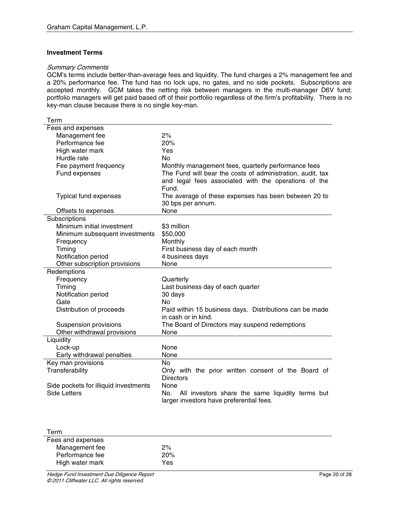## **Investment Terms**

## Summary Comments

GCM's terms include better-than-average fees and liquidity. The fund charges a 2% management fee and a 20% performance fee. The fund has no lock ups, no gates, and no side pockets. Subscriptions are accepted monthly. GCM takes the netting risk between managers in the multi-manager D6V fund; portfolio managers will get paid based off of their portfolio regardless of the firm's profitability. There is no key-man clause because there is no single key-man.

| Term                                  |                                                            |
|---------------------------------------|------------------------------------------------------------|
| Fees and expenses                     |                                                            |
| Management fee                        | 2%                                                         |
| Performance fee                       | 20%                                                        |
| High water mark                       | Yes                                                        |
| Hurdle rate                           | N <sub>o</sub>                                             |
| Fee payment frequency                 | Monthly management fees, quarterly performance fees        |
| Fund expenses                         | The Fund will bear the costs of administration, audit, tax |
|                                       | and legal fees associated with the operations of the       |
|                                       | Fund.                                                      |
| <b>Typical fund expenses</b>          | The average of these expenses has been between 20 to       |
|                                       | 30 bps per annum.                                          |
| Offsets to expenses                   | None                                                       |
| Subscriptions                         |                                                            |
| Minimum initial investment            | \$3 million                                                |
| Minimum subsequent investments        | \$50,000                                                   |
| Frequency                             | Monthly                                                    |
| Timing                                | First business day of each month                           |
| Notification period                   | 4 business days                                            |
| Other subscription provisions         | None                                                       |
| Redemptions                           |                                                            |
| Frequency                             | Quarterly                                                  |
| Timing                                | Last business day of each quarter                          |
| Notification period                   | 30 days                                                    |
| Gate                                  | <b>No</b>                                                  |
| Distribution of proceeds              | Paid within 15 business days. Distributions can be made    |
|                                       | in cash or in kind.                                        |
| Suspension provisions                 | The Board of Directors may suspend redemptions             |
| Other withdrawal provisions           | None                                                       |
| Liquidity                             |                                                            |
| Lock-up                               | <b>None</b>                                                |
| Early withdrawal penalties            | None                                                       |
| Key man provisions                    | <b>No</b>                                                  |
| Transferability                       | Only with the prior written consent of the Board of        |
|                                       | <b>Directors</b>                                           |
| Side pockets for illiquid investments | None                                                       |
| <b>Side Letters</b>                   | No.<br>All investors share the same liquidity terms but    |
|                                       | larger investors have preferential fees.                   |

| Term              |     |  |
|-------------------|-----|--|
| Fees and expenses |     |  |
| Management fee    | 2%  |  |
| Performance fee   | 20% |  |
| High water mark   | Yes |  |
|                   |     |  |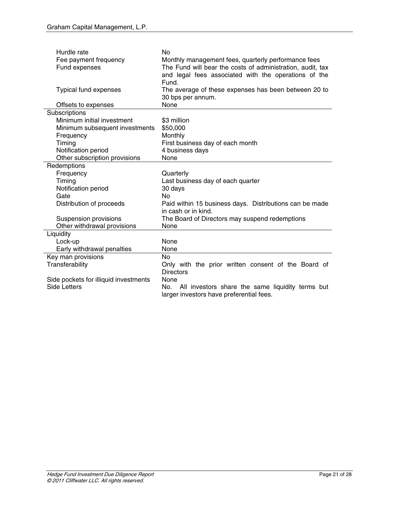| Hurdle rate<br>Fee payment frequency<br>Fund expenses | <b>No</b><br>Monthly management fees, quarterly performance fees<br>The Fund will bear the costs of administration, audit, tax<br>and legal fees associated with the operations of the |
|-------------------------------------------------------|----------------------------------------------------------------------------------------------------------------------------------------------------------------------------------------|
|                                                       | Fund.                                                                                                                                                                                  |
| <b>Typical fund expenses</b>                          | The average of these expenses has been between 20 to<br>30 bps per annum.                                                                                                              |
| Offsets to expenses                                   | None                                                                                                                                                                                   |
| Subscriptions                                         |                                                                                                                                                                                        |
| Minimum initial investment                            | \$3 million                                                                                                                                                                            |
| Minimum subsequent investments                        | \$50,000                                                                                                                                                                               |
| Frequency                                             | Monthly                                                                                                                                                                                |
| Timing                                                | First business day of each month                                                                                                                                                       |
| Notification period                                   | 4 business days                                                                                                                                                                        |
| Other subscription provisions                         | None                                                                                                                                                                                   |
| Redemptions                                           |                                                                                                                                                                                        |
| Frequency                                             | Quarterly                                                                                                                                                                              |
| Timing                                                | Last business day of each quarter                                                                                                                                                      |
| Notification period                                   | 30 days                                                                                                                                                                                |
| Gate                                                  | No                                                                                                                                                                                     |
| Distribution of proceeds                              | Paid within 15 business days. Distributions can be made                                                                                                                                |
|                                                       | in cash or in kind.                                                                                                                                                                    |
| Suspension provisions                                 | The Board of Directors may suspend redemptions                                                                                                                                         |
| Other withdrawal provisions                           | None                                                                                                                                                                                   |
| Liquidity                                             |                                                                                                                                                                                        |
| Lock-up                                               | None                                                                                                                                                                                   |
| Early withdrawal penalties                            | None                                                                                                                                                                                   |
| Key man provisions                                    | <b>No</b>                                                                                                                                                                              |
| Transferability                                       | Only with the prior written consent of the Board of                                                                                                                                    |
|                                                       | <b>Directors</b>                                                                                                                                                                       |
| Side pockets for illiquid investments                 | None                                                                                                                                                                                   |
| Side Letters                                          | All investors share the same liquidity terms but<br>No.<br>larger investors have preferential fees.                                                                                    |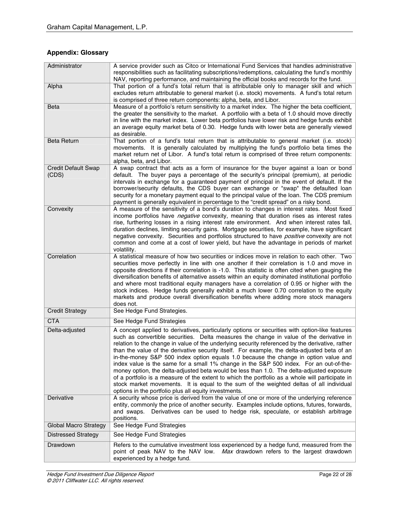# **Appendix: Glossary**

| Administrator                | A service provider such as Citco or International Fund Services that handles administrative                                                                                                     |
|------------------------------|-------------------------------------------------------------------------------------------------------------------------------------------------------------------------------------------------|
|                              | responsibilities such as facilitating subscriptions/redemptions, calculating the fund's monthly<br>NAV, reporting performance, and maintaining the official books and records for the fund.     |
| Alpha                        | That portion of a fund's total return that is attributable only to manager skill and which                                                                                                      |
|                              | excludes return attributable to general market (i.e. stock) movements. A fund's total return                                                                                                    |
|                              | is comprised of three return components: alpha, beta, and Libor.<br>Measure of a portfolio's return sensitivity to a market index. The higher the beta coefficient,                             |
| Beta                         | the greater the sensitivity to the market. A portfolio with a beta of 1.0 should move directly                                                                                                  |
|                              | in line with the market index. Lower beta portfolios have lower risk and hedge funds exhibit                                                                                                    |
|                              | an average equity market beta of 0.30. Hedge funds with lower beta are generally viewed                                                                                                         |
|                              | as desirable.                                                                                                                                                                                   |
| <b>Beta Return</b>           | That portion of a fund's total return that is attributable to general market (i.e. stock)<br>movements. It is generally calculated by multiplying the fund's portfolio beta times the           |
|                              | market return net of Libor. A fund's total return is comprised of three return components:                                                                                                      |
|                              | alpha, beta, and Libor.                                                                                                                                                                         |
| <b>Credit Default Swap</b>   | A swap contract that acts as a form of insurance for the buyer against a loan or bond                                                                                                           |
| (CDS)                        | default. The buyer pays a percentage of the security's principal (premium), at periodic                                                                                                         |
|                              | intervals in exchange for a guaranteed payment of principal in the event of default. If the<br>borrower/security defaults, the CDS buyer can exchange or "swap" the defaulted loan              |
|                              | security for a monetary payment equal to the principal value of the loan. The CDS premium                                                                                                       |
|                              | payment is generally equivalent in percentage to the "credit spread" on a risky bond.                                                                                                           |
| Convexity                    | A measure of the sensitivity of a bond's duration to changes in interest rates. Most fixed                                                                                                      |
|                              | income portfolios have <i>negative</i> convexity, meaning that duration rises as interest rates<br>rise, furthering losses in a rising interest rate environment. And when interest rates fall, |
|                              | duration declines, limiting security gains. Mortgage securities, for example, have significant                                                                                                  |
|                              | negative convexity. Securities and portfolios structured to have <i>positive</i> convexity are not                                                                                              |
|                              | common and come at a cost of lower yield, but have the advantage in periods of market                                                                                                           |
|                              | volatility.                                                                                                                                                                                     |
| Correlation                  | A statistical measure of how two securities or indices move in relation to each other. Two<br>securities move perfectly in line with one another if their correlation is 1.0 and move in        |
|                              | opposite directions if their correlation is -1.0. This statistic is often cited when gauging the                                                                                                |
|                              | diversification benefits of alternative assets within an equity dominated institutional portfolio                                                                                               |
|                              | and where most traditional equity managers have a correlation of 0.95 or higher with the                                                                                                        |
|                              | stock indices. Hedge funds generally exhibit a much lower 0.70 correlation to the equity<br>markets and produce overall diversification benefits where adding more stock managers               |
|                              | does not.                                                                                                                                                                                       |
| <b>Credit Strategy</b>       | See Hedge Fund Strategies.                                                                                                                                                                      |
| <b>CTA</b>                   | See Hedge Fund Strategies                                                                                                                                                                       |
| Delta-adjusted               | A concept applied to derivatives, particularly options or securities with option-like features                                                                                                  |
|                              | such as convertible securities. Delta measures the change in value of the derivative in<br>relation to the change in value of the underlying security referenced by the derivative, rather      |
|                              | than the value of the derivative security itself. For example, the delta-adjusted beta of an                                                                                                    |
|                              | in-the-money S&P 500 index option equals 1.0 because the change in option value and                                                                                                             |
|                              | index value is the same for a small 1% change in the S&P 500 index. For an out-of-the-                                                                                                          |
|                              | money option, the delta-adjusted beta would be less than 1.0. The delta-adjusted exposure<br>of a portfolio is a measure of the extent to which the portfolio as a whole will participate in    |
|                              | stock market movements. It is equal to the sum of the weighted deltas of all individual                                                                                                         |
|                              | options in the portfolio plus all equity investments.                                                                                                                                           |
| Derivative                   | A security whose price is derived from the value of one or more of the underlying reference                                                                                                     |
|                              | entity, commonly the price of another security. Examples include options, futures, forwards,                                                                                                    |
|                              | Derivatives can be used to hedge risk, speculate, or establish arbitrage<br>and swaps.<br>positions.                                                                                            |
| <b>Global Macro Strategy</b> | See Hedge Fund Strategies                                                                                                                                                                       |
| <b>Distressed Strategy</b>   | See Hedge Fund Strategies                                                                                                                                                                       |
| Drawdown                     | Refers to the cumulative investment loss experienced by a hedge fund, measured from the                                                                                                         |
|                              | point of peak NAV to the NAV low. Max drawdown refers to the largest drawdown                                                                                                                   |
|                              | experienced by a hedge fund.                                                                                                                                                                    |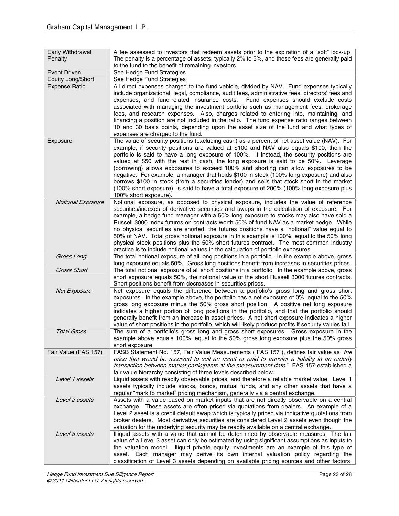| Early Withdrawal<br>Penalty | A fee assessed to investors that redeem assets prior to the expiration of a "soft" lock-up.<br>The penalty is a percentage of assets, typically 2% to 5%, and these fees are generally paid<br>to the fund to the benefit of remaining investors.                                                                                                                                                                                                                                                                                                                                                                                                                                                                                                                              |
|-----------------------------|--------------------------------------------------------------------------------------------------------------------------------------------------------------------------------------------------------------------------------------------------------------------------------------------------------------------------------------------------------------------------------------------------------------------------------------------------------------------------------------------------------------------------------------------------------------------------------------------------------------------------------------------------------------------------------------------------------------------------------------------------------------------------------|
| Event Driven                | See Hedge Fund Strategies                                                                                                                                                                                                                                                                                                                                                                                                                                                                                                                                                                                                                                                                                                                                                      |
| <b>Equity Long/Short</b>    | See Hedge Fund Strategies                                                                                                                                                                                                                                                                                                                                                                                                                                                                                                                                                                                                                                                                                                                                                      |
| <b>Expense Ratio</b>        | All direct expenses charged to the fund vehicle, divided by NAV. Fund expenses typically<br>include organizational, legal, compliance, audit fees, administrative fees, directors' fees and<br>expenses, and fund-related insurance costs. Fund expenses should exclude costs<br>associated with managing the investment portfolio such as management fees, brokerage<br>fees, and research expenses. Also, charges related to entering into, maintaining, and<br>financing a position are not included in the ratio. The fund expense ratio ranges between<br>10 and 30 basis points, depending upon the asset size of the fund and what types of<br>expenses are charged to the fund.                                                                                        |
| Exposure                    | The value of security positions (excluding cash) as a percent of net asset value (NAV). For<br>example, if security positions are valued at \$100 and NAV also equals \$100, then the<br>portfolio is said to have a long exposure of 100%. If instead, the security positions are<br>valued at \$50 with the rest in cash, the long exposure is said to be 50%. Leverage<br>(borrowing) allows exposures to exceed 100% and shorting can allow exposures to be<br>negative. For example, a manager that holds \$100 in stock (100% long exposure) and also<br>borrows \$100 in stock (from a securities lender) and sells that stock short in the market<br>(100% short exposure), is said to have a total exposure of 200% (100% long exposure plus<br>100% short exposure). |
| Notional Exposure           | Notional exposure, as opposed to physical exposure, includes the value of reference<br>securities/indexes of derivative securities and swaps in the calculation of exposure. For<br>example, a hedge fund manager with a 50% long exposure to stocks may also have sold a<br>Russell 3000 index futures on contracts worth 50% of fund NAV as a market hedge. While<br>no physical securities are shorted, the futures positions have a "notional" value equal to<br>50% of NAV. Total gross notional exposure in this example is 100%, equal to the 50% long<br>physical stock positions plus the 50% short futures contract. The most common industry<br>practice is to include notional values in the calculation of portfolio exposures.                                   |
| Gross Long                  | The total notional exposure of all long positions in a portfolio. In the example above, gross<br>long exposure equals 50%. Gross long positions benefit from increases in securities prices.                                                                                                                                                                                                                                                                                                                                                                                                                                                                                                                                                                                   |
| <b>Gross Short</b>          | The total notional exposure of all short positions in a portfolio. In the example above, gross<br>short exposure equals 50%, the notional value of the short Russell 3000 futures contracts.<br>Short positions benefit from decreases in securities prices.                                                                                                                                                                                                                                                                                                                                                                                                                                                                                                                   |
| Net Exposure                | Net exposure equals the difference between a portfolio's gross long and gross short<br>exposures. In the example above, the portfolio has a net exposure of 0%, equal to the 50%<br>gross long exposure minus the 50% gross short position. A positive net long exposure<br>indicates a higher portion of long positions in the portfolio, and that the portfolio should<br>generally benefit from an increase in asset prices. A net short exposure indicates a higher<br>value of short positions in the portfolio, which will likely produce profits if security values fall.                                                                                                                                                                                               |
| <b>Total Gross</b>          | The sum of a portfolio's gross long and gross short exposures. Gross exposure in the<br>example above equals 100%, equal to the 50% gross long exposure plus the 50% gross<br>short exposure.                                                                                                                                                                                                                                                                                                                                                                                                                                                                                                                                                                                  |
| Fair Value (FAS 157)        | FASB Statement No. 157, Fair Value Measurements ("FAS 157"), defines fair value as "the<br>price that would be received to sell an asset or paid to transfer a liability in an orderly<br>transaction between market participants at the measurement date." FAS 157 established a<br>fair value hierarchy consisting of three levels described below.                                                                                                                                                                                                                                                                                                                                                                                                                          |
| Level 1 assets              | Liquid assets with readily observable prices, and therefore a reliable market value. Level 1<br>assets typically include stocks, bonds, mutual funds, and any other assets that have a<br>regular "mark to market" pricing mechanism, generally via a central exchange.                                                                                                                                                                                                                                                                                                                                                                                                                                                                                                        |
| Level 2 assets              | Assets with a value based on market inputs that are not directly observable on a central<br>exchange. These assets are often priced via quotations from dealers. An example of a<br>Level 2 asset is a credit default swap which is typically priced via indicative quotations from<br>broker dealers. Most derivative securities are considered Level 2 assets even though the<br>valuation for the underlying security may be readily available on a central exchange.                                                                                                                                                                                                                                                                                                       |
| Level 3 assets              | Illiquid assets with a value that cannot be determined by observable measures. The fair<br>value of a Level 3 asset can only be estimated by using significant assumptions as inputs to<br>the valuation model. Illiquid private equity investments are an example of this type of<br>asset. Each manager may derive its own internal valuation policy regarding the<br>classification of Level 3 assets depending on available pricing sources and other factors.                                                                                                                                                                                                                                                                                                             |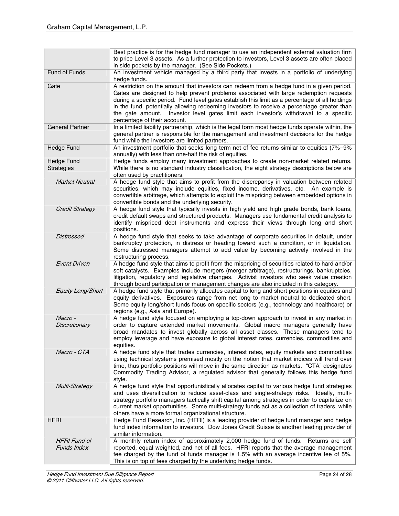|                                           | Best practice is for the hedge fund manager to use an independent external valuation firm<br>to price Level 3 assets. As a further protection to investors, Level 3 assets are often placed<br>in side pockets by the manager. (See Side Pockets.)                                                                                                                                                                                                                                                           |
|-------------------------------------------|--------------------------------------------------------------------------------------------------------------------------------------------------------------------------------------------------------------------------------------------------------------------------------------------------------------------------------------------------------------------------------------------------------------------------------------------------------------------------------------------------------------|
| Fund of Funds                             | An investment vehicle managed by a third party that invests in a portfolio of underlying<br>hedge funds.                                                                                                                                                                                                                                                                                                                                                                                                     |
| Gate                                      | A restriction on the amount that investors can redeem from a hedge fund in a given period.<br>Gates are designed to help prevent problems associated with large redemption requests<br>during a specific period. Fund level gates establish this limit as a percentage of all holdings<br>in the fund, potentially allowing redeeming investors to receive a percentage greater than<br>the gate amount. Investor level gates limit each investor's withdrawal to a specific<br>percentage of their account. |
| <b>General Partner</b>                    | In a limited liability partnership, which is the legal form most hedge funds operate within, the<br>general partner is responsible for the management and investment decisions for the hedge<br>fund while the investors are limited partners.                                                                                                                                                                                                                                                               |
| <b>Hedge Fund</b>                         | An investment portfolio that seeks long term net of fee returns similar to equities (7%-9%<br>annually) with less than one-half the risk of equities.                                                                                                                                                                                                                                                                                                                                                        |
| <b>Hedge Fund</b><br><b>Strategies</b>    | Hedge funds employ many investment approaches to create non-market related returns.<br>While there is no standard industry classification, the eight strategy descriptions below are<br>often used by practitioners.                                                                                                                                                                                                                                                                                         |
| <b>Market Neutral</b>                     | A hedge fund style that aims to profit from the discrepancy in valuation between related<br>securities, which may include equities, fixed income, derivatives, etc. An example is<br>convertible arbitrage, which attempts to exploit the mispricing between embedded options in<br>convertible bonds and the underlying security.                                                                                                                                                                           |
| <b>Credit Strategy</b>                    | A hedge fund style that typically invests in high yield and high grade bonds, bank loans,<br>credit default swaps and structured products. Managers use fundamental credit analysis to<br>identify mispriced debt instruments and express their views through long and short<br>positions.                                                                                                                                                                                                                   |
| <b>Distressed</b>                         | A hedge fund style that seeks to take advantage of corporate securities in default, under<br>bankruptcy protection, in distress or heading toward such a condition, or in liquidation.<br>Some distressed managers attempt to add value by becoming actively involved in the<br>restructuring process.                                                                                                                                                                                                       |
| <b>Event Driven</b>                       | A hedge fund style that aims to profit from the mispricing of securities related to hard and/or<br>soft catalysts. Examples include mergers (merger arbitrage), restructurings, bankruptcies,<br>litigation, regulatory and legislative changes. Activist investors who seek value creation<br>through board participation or management changes are also included in this category.                                                                                                                         |
| Equity Long/Short                         | A hedge fund style that primarily allocates capital to long and short positions in equities and<br>equity derivatives. Exposures range from net long to market neutral to dedicated short.<br>Some equity long/short funds focus on specific sectors (e.g., technology and healthcare) or<br>regions (e.g., Asia and Europe).                                                                                                                                                                                |
| Macro -<br>Discretionary                  | A hedge fund style focused on employing a top-down approach to invest in any market in<br>order to capture extended market movements. Global macro managers generally have<br>broad mandates to invest globally across all asset classes. These managers tend to<br>employ leverage and have exposure to global interest rates, currencies, commodities and<br>equities.                                                                                                                                     |
| Macro - CTA                               | A hedge fund style that trades currencies, interest rates, equity markets and commodities<br>using technical systems premised mostly on the notion that market indices will trend over<br>time, thus portfolio positions will move in the same direction as markets. "CTA" designates<br>Commodity Trading Advisor, a regulated advisor that generally follows this hedge fund<br>style.                                                                                                                     |
| Multi-Strategy                            | A hedge fund style that opportunistically allocates capital to various hedge fund strategies<br>and uses diversification to reduce asset-class and single-strategy risks. Ideally, multi-<br>strategy portfolio managers tactically shift capital among strategies in order to capitalize on<br>current market opportunities. Some multi-strategy funds act as a collection of traders, while<br>others have a more formal organizational structure.                                                         |
| <b>HFRI</b>                               | Hedge Fund Research, Inc. (HFRI) is a leading provider of hedge fund manager and hedge<br>fund index information to investors. Dow Jones Credit Suisse is another leading provider of<br>similar information.                                                                                                                                                                                                                                                                                                |
| <b>HFRI Fund of</b><br><b>Funds Index</b> | A monthly return index of approximately 2,000 hedge fund of funds. Returns are self<br>reported, equal weighted, and net of all fees. HFRI reports that the average management<br>fee charged by the fund of funds manager is 1.5% with an average incentive fee of 5%.<br>This is on top of fees charged by the underlying hedge funds.                                                                                                                                                                     |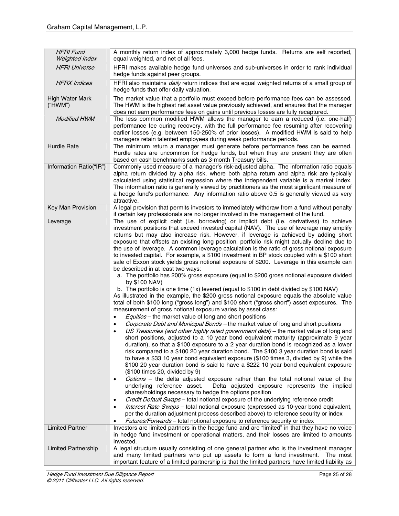| <b>HFRI Fund</b><br><b>Weighted Index</b> | A monthly return index of approximately 3,000 hedge funds. Returns are self reported,<br>equal weighted, and net of all fees.                                                                                                                                                                                                                                                                                                                                                                                                                                                                                                                                                                                                                                                                                                                                                                                                                                                                                                                                                                                                                                                                                                                                                                                                                                                                                                                                                                                                                                                                                                                                                                                                                                                                                                                                                                                                                                                                                                                                                                                                                                                                                                                                                                                                                                                                                                                                                                                                                               |
|-------------------------------------------|-------------------------------------------------------------------------------------------------------------------------------------------------------------------------------------------------------------------------------------------------------------------------------------------------------------------------------------------------------------------------------------------------------------------------------------------------------------------------------------------------------------------------------------------------------------------------------------------------------------------------------------------------------------------------------------------------------------------------------------------------------------------------------------------------------------------------------------------------------------------------------------------------------------------------------------------------------------------------------------------------------------------------------------------------------------------------------------------------------------------------------------------------------------------------------------------------------------------------------------------------------------------------------------------------------------------------------------------------------------------------------------------------------------------------------------------------------------------------------------------------------------------------------------------------------------------------------------------------------------------------------------------------------------------------------------------------------------------------------------------------------------------------------------------------------------------------------------------------------------------------------------------------------------------------------------------------------------------------------------------------------------------------------------------------------------------------------------------------------------------------------------------------------------------------------------------------------------------------------------------------------------------------------------------------------------------------------------------------------------------------------------------------------------------------------------------------------------------------------------------------------------------------------------------------------------|
| <b>HFRI Universe</b>                      | HFRI makes available hedge fund universes and sub-universes in order to rank individual<br>hedge funds against peer groups.                                                                                                                                                                                                                                                                                                                                                                                                                                                                                                                                                                                                                                                                                                                                                                                                                                                                                                                                                                                                                                                                                                                                                                                                                                                                                                                                                                                                                                                                                                                                                                                                                                                                                                                                                                                                                                                                                                                                                                                                                                                                                                                                                                                                                                                                                                                                                                                                                                 |
| <b>HFRX</b> Indices                       | HFRI also maintains <i>daily</i> return indices that are equal weighted returns of a small group of<br>hedge funds that offer daily valuation.                                                                                                                                                                                                                                                                                                                                                                                                                                                                                                                                                                                                                                                                                                                                                                                                                                                                                                                                                                                                                                                                                                                                                                                                                                                                                                                                                                                                                                                                                                                                                                                                                                                                                                                                                                                                                                                                                                                                                                                                                                                                                                                                                                                                                                                                                                                                                                                                              |
| High Water Mark<br>("HWM")                | The market value that a portfolio must exceed before performance fees can be assessed.<br>The HWM is the highest net asset value previously achieved, and ensures that the manager<br>does not earn performance fees on gains until previous losses are fully recaptured.                                                                                                                                                                                                                                                                                                                                                                                                                                                                                                                                                                                                                                                                                                                                                                                                                                                                                                                                                                                                                                                                                                                                                                                                                                                                                                                                                                                                                                                                                                                                                                                                                                                                                                                                                                                                                                                                                                                                                                                                                                                                                                                                                                                                                                                                                   |
| <b>Modified HWM</b>                       | The less common modified HWM allows the manager to earn a reduced (i.e. one-half)<br>performance fee during recovery, with the full performance fee resuming after recovering<br>earlier losses (e.g. between 150-250% of prior losses). A modified HWM is said to help<br>managers retain talented employees during weak performance periods.                                                                                                                                                                                                                                                                                                                                                                                                                                                                                                                                                                                                                                                                                                                                                                                                                                                                                                                                                                                                                                                                                                                                                                                                                                                                                                                                                                                                                                                                                                                                                                                                                                                                                                                                                                                                                                                                                                                                                                                                                                                                                                                                                                                                              |
| Hurdle Rate                               | The minimum return a manager must generate before performance fees can be earned.<br>Hurdle rates are uncommon for hedge funds, but when they are present they are often<br>based on cash benchmarks such as 3-month Treasury bills.                                                                                                                                                                                                                                                                                                                                                                                                                                                                                                                                                                                                                                                                                                                                                                                                                                                                                                                                                                                                                                                                                                                                                                                                                                                                                                                                                                                                                                                                                                                                                                                                                                                                                                                                                                                                                                                                                                                                                                                                                                                                                                                                                                                                                                                                                                                        |
| Information Ratio("IR")                   | Commonly used measure of a manager's risk-adjusted alpha. The information ratio equals<br>alpha return divided by alpha risk, where both alpha return and alpha risk are typically<br>calculated using statistical regression where the independent variable is a market index.<br>The information ratio is generally viewed by practitioners as the most significant measure of<br>a hedge fund's performance. Any information ratio above 0.5 is generally viewed as very<br>attractive.                                                                                                                                                                                                                                                                                                                                                                                                                                                                                                                                                                                                                                                                                                                                                                                                                                                                                                                                                                                                                                                                                                                                                                                                                                                                                                                                                                                                                                                                                                                                                                                                                                                                                                                                                                                                                                                                                                                                                                                                                                                                  |
| Key Man Provision                         | A legal provision that permits investors to immediately withdraw from a fund without penalty<br>if certain key professionals are no longer involved in the management of the fund.                                                                                                                                                                                                                                                                                                                                                                                                                                                                                                                                                                                                                                                                                                                                                                                                                                                                                                                                                                                                                                                                                                                                                                                                                                                                                                                                                                                                                                                                                                                                                                                                                                                                                                                                                                                                                                                                                                                                                                                                                                                                                                                                                                                                                                                                                                                                                                          |
| Leverage                                  | The use of explicit debt (i.e. borrowing) or implicit debt (i.e. derivatives) to achieve<br>investment positions that exceed invested capital (NAV). The use of leverage may amplify<br>returns but may also increase risk. However, if leverage is achieved by adding short<br>exposure that offsets an existing long position, portfolio risk might actually decline due to<br>the use of leverage. A common leverage calculation is the ratio of gross notional exposure<br>to invested capital. For example, a \$100 investment in BP stock coupled with a \$100 short<br>sale of Exxon stock yields gross notional exposure of \$200. Leverage in this example can<br>be described in at least two ways:<br>a. The portfolio has 200% gross exposure (equal to \$200 gross notional exposure divided<br>by \$100 NAV)<br>b. The portfolio is one time (1x) levered (equal to \$100 in debt divided by \$100 NAV)<br>As illustrated in the example, the \$200 gross notional exposure equals the absolute value<br>total of both \$100 long ("gross long") and \$100 short ("gross short") asset exposures. The<br>measurement of gross notional exposure varies by asset class:<br>Equities - the market value of long and short positions<br>Corporate Debt and Municipal Bonds - the market value of long and short positions<br>US Treasuries (and other highly rated government debt) - the market value of long and<br>short positions, adjusted to a 10 year bond equivalent maturity (approximate 9 year<br>duration), so that a \$100 exposure to a 2 year duration bond is recognized as a lower<br>risk compared to a \$100 20 year duration bond. The \$100 3 year duration bond is said<br>to have a \$33 10 year bond equivalent exposure (\$100 times 3, divided by 9) while the<br>\$100 20 year duration bond is said to have a \$222 10 year bond equivalent exposure<br>(\$100 times 20, divided by 9)<br>Options - the delta adjusted exposure rather than the total notional value of the<br>$\bullet$<br>underlying reference asset.<br>Delta adjusted exposure represents the implied<br>shares/holdings necessary to hedge the options position<br>Credit Default Swaps - total notional exposure of the underlying reference credit<br>$\bullet$<br>Interest Rate Swaps - total notional exposure (expressed as 10-year bond equivalent,<br>٠<br>per the duration adjustment process described above) to reference security or index<br>Futures/Forwards - total notional exposure to reference security or index<br>$\bullet$ |
| <b>Limited Partner</b>                    | Investors are limited partners in the hedge fund and are "limited" in that they have no voice<br>in hedge fund investment or operational matters, and their losses are limited to amounts<br>invested.                                                                                                                                                                                                                                                                                                                                                                                                                                                                                                                                                                                                                                                                                                                                                                                                                                                                                                                                                                                                                                                                                                                                                                                                                                                                                                                                                                                                                                                                                                                                                                                                                                                                                                                                                                                                                                                                                                                                                                                                                                                                                                                                                                                                                                                                                                                                                      |
| <b>Limited Partnership</b>                | A legal structure usually consisting of one general partner who is the investment manager<br>and many limited partners who put up assets to form a fund investment. The most<br>important feature of a limited partnership is that the limited partners have limited liability as                                                                                                                                                                                                                                                                                                                                                                                                                                                                                                                                                                                                                                                                                                                                                                                                                                                                                                                                                                                                                                                                                                                                                                                                                                                                                                                                                                                                                                                                                                                                                                                                                                                                                                                                                                                                                                                                                                                                                                                                                                                                                                                                                                                                                                                                           |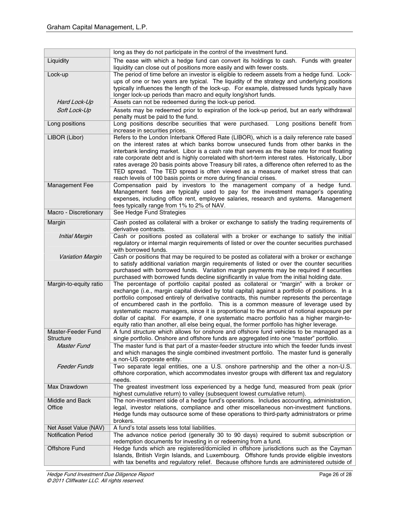|                                        | long as they do not participate in the control of the investment fund.                                                                                                                                                                                                                                                                                                                                                                                                                                                                                                                                                                                               |
|----------------------------------------|----------------------------------------------------------------------------------------------------------------------------------------------------------------------------------------------------------------------------------------------------------------------------------------------------------------------------------------------------------------------------------------------------------------------------------------------------------------------------------------------------------------------------------------------------------------------------------------------------------------------------------------------------------------------|
| Liquidity                              | The ease with which a hedge fund can convert its holdings to cash. Funds with greater<br>liquidity can close out of positions more easily and with fewer costs.                                                                                                                                                                                                                                                                                                                                                                                                                                                                                                      |
| Lock-up                                | The period of time before an investor is eligible to redeem assets from a hedge fund. Lock-<br>ups of one or two years are typical. The liquidity of the strategy and underlying positions<br>typically influences the length of the lock-up. For example, distressed funds typically have<br>longer lock-up periods than macro and equity long/short funds.                                                                                                                                                                                                                                                                                                         |
| Hard Lock-Up                           | Assets can not be redeemed during the lock-up period.                                                                                                                                                                                                                                                                                                                                                                                                                                                                                                                                                                                                                |
| Soft Lock-Up                           | Assets may be redeemed prior to expiration of the lock-up period, but an early withdrawal<br>penalty must be paid to the fund.                                                                                                                                                                                                                                                                                                                                                                                                                                                                                                                                       |
| Long positions                         | Long positions describe securities that were purchased.<br>Long positions benefit from<br>increase in securities prices.                                                                                                                                                                                                                                                                                                                                                                                                                                                                                                                                             |
| LIBOR (Libor)                          | Refers to the London Interbank Offered Rate (LIBOR), which is a daily reference rate based<br>on the interest rates at which banks borrow unsecured funds from other banks in the<br>interbank lending market. Libor is a cash rate that serves as the base rate for most floating<br>rate corporate debt and is highly correlated with short-term interest rates. Historically, Libor<br>rates average 20 basis points above Treasury bill rates, a difference often referred to as the<br>TED spread. The TED spread is often viewed as a measure of market stress that can<br>reach levels of 100 basis points or more during financial crises.                   |
| Management Fee                         | Compensation paid by investors to the management company of a hedge fund.<br>Management fees are typically used to pay for the investment manager's operating<br>expenses, including office rent, employee salaries, research and systems. Management<br>fees typically range from 1% to 2% of NAV.                                                                                                                                                                                                                                                                                                                                                                  |
| Macro - Discretionary                  | See Hedge Fund Strategies                                                                                                                                                                                                                                                                                                                                                                                                                                                                                                                                                                                                                                            |
| Margin                                 | Cash posted as collateral with a broker or exchange to satisfy the trading requirements of<br>derivative contracts.                                                                                                                                                                                                                                                                                                                                                                                                                                                                                                                                                  |
| <b>Initial Margin</b>                  | Cash or positions posted as collateral with a broker or exchange to satisfy the initial<br>regulatory or internal margin requirements of listed or over the counter securities purchased<br>with borrowed funds.                                                                                                                                                                                                                                                                                                                                                                                                                                                     |
| <b>Variation Margin</b>                | Cash or positions that may be required to be posted as collateral with a broker or exchange<br>to satisfy additional variation margin requirements of listed or over the counter securities<br>purchased with borrowed funds. Variation margin payments may be required if securities<br>purchased with borrowed funds decline significantly in value from the initial holding date.                                                                                                                                                                                                                                                                                 |
| Margin-to-equity ratio                 | The percentage of portfolio capital posted as collateral or "margin" with a broker or<br>exchange (i.e., margin capital divided by total capital) against a portfolio of positions. In a<br>portfolio composed entirely of derivative contracts, this number represents the percentage<br>of encumbered cash in the portfolio. This is a common measure of leverage used by<br>systematic macro managers, since it is proportional to the amount of notional exposure per<br>dollar of capital. For example, if one systematic macro portfolio has a higher margin-to-<br>equity ratio than another, all else being equal, the former portfolio has higher leverage. |
| Master-Feeder Fund<br><b>Structure</b> | A fund structure which allows for onshore and offshore fund vehicles to be managed as a<br>single portfolio. Onshore and offshore funds are aggregated into one "master" portfolio.                                                                                                                                                                                                                                                                                                                                                                                                                                                                                  |
| <b>Master Fund</b>                     | The master fund is that part of a master-feeder structure into which the feeder funds invest<br>and which manages the single combined investment portfolio. The master fund is generally<br>a non-US corporate entity.                                                                                                                                                                                                                                                                                                                                                                                                                                               |
| <b>Feeder Funds</b>                    | Two separate legal entities, one a U.S. onshore partnership and the other a non-U.S.<br>offshore corporation, which accommodates investor groups with different tax and regulatory<br>needs.                                                                                                                                                                                                                                                                                                                                                                                                                                                                         |
| Max Drawdown                           | The greatest investment loss experienced by a hedge fund, measured from peak (prior<br>highest cumulative return) to valley (subsequent lowest cumulative return).                                                                                                                                                                                                                                                                                                                                                                                                                                                                                                   |
| Middle and Back<br>Office              | The non-investment side of a hedge fund's operations. Includes accounting, administration,<br>legal, investor relations, compliance and other miscellaneous non-investment functions.<br>Hedge funds may outsource some of these operations to third-party administrators or prime<br>brokers.                                                                                                                                                                                                                                                                                                                                                                       |
| Net Asset Value (NAV)                  | A fund's total assets less total liabilities.                                                                                                                                                                                                                                                                                                                                                                                                                                                                                                                                                                                                                        |
| <b>Notification Period</b>             | The advance notice period (generally 30 to 90 days) required to submit subscription or<br>redemption documents for investing in or redeeming from a fund.                                                                                                                                                                                                                                                                                                                                                                                                                                                                                                            |
| Offshore Fund                          | Hedge funds which are registered/domiciled in offshore jurisdictions such as the Cayman<br>Islands, British Virgin Islands, and Luxembourg. Offshore funds provide eligible investors                                                                                                                                                                                                                                                                                                                                                                                                                                                                                |
|                                        | with tax benefits and regulatory relief. Because offshore funds are administered outside of                                                                                                                                                                                                                                                                                                                                                                                                                                                                                                                                                                          |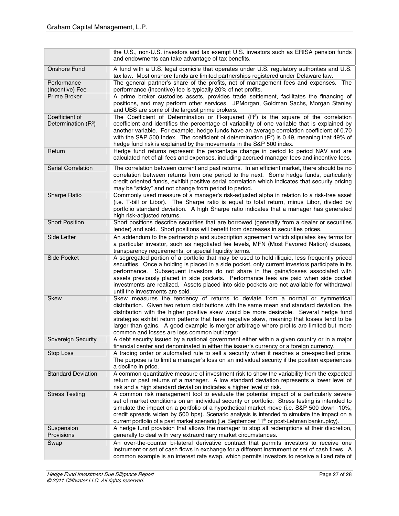|                                 | the U.S., non-U.S. investors and tax exempt U.S. investors such as ERISA pension funds<br>and endowments can take advantage of tax benefits.                                                                                                                                                                                                                                                                                                                                  |
|---------------------------------|-------------------------------------------------------------------------------------------------------------------------------------------------------------------------------------------------------------------------------------------------------------------------------------------------------------------------------------------------------------------------------------------------------------------------------------------------------------------------------|
| Onshore Fund                    | A fund with a U.S. legal domicile that operates under U.S. regulatory authorities and U.S.<br>tax law. Most onshore funds are limited partnerships registered under Delaware law.                                                                                                                                                                                                                                                                                             |
| Performance                     | The general partner's share of the profits, net of management fees and expenses. The                                                                                                                                                                                                                                                                                                                                                                                          |
| (Incentive) Fee                 | performance (incentive) fee is typically 20% of net profits.                                                                                                                                                                                                                                                                                                                                                                                                                  |
| <b>Prime Broker</b>             | A prime broker custodies assets, provides trade settlement, facilitates the financing of                                                                                                                                                                                                                                                                                                                                                                                      |
|                                 | positions, and may perform other services. JPMorgan, Goldman Sachs, Morgan Stanley<br>and UBS are some of the largest prime brokers.                                                                                                                                                                                                                                                                                                                                          |
| Coefficient of                  | The Coefficient of Determination or R-squared $(R^2)$ is the square of the correlation                                                                                                                                                                                                                                                                                                                                                                                        |
| Determination (R <sup>2</sup> ) | coefficient and identifies the percentage of variability of one variable that is explained by<br>another variable. For example, hedge funds have an average correlation coefficient of 0.70<br>with the S&P 500 Index. The coefficient of determination $(R^2)$ is 0.49, meaning that 49% of<br>hedge fund risk is explained by the movements in the S&P 500 index.                                                                                                           |
| Return                          | Hedge fund returns represent the percentage change in period to period NAV and are                                                                                                                                                                                                                                                                                                                                                                                            |
|                                 | calculated net of all fees and expenses, including accrued manager fees and incentive fees.                                                                                                                                                                                                                                                                                                                                                                                   |
| <b>Serial Correlation</b>       | The correlation between current and past returns. In an efficient market, there should be no                                                                                                                                                                                                                                                                                                                                                                                  |
|                                 | correlation between returns from one period to the next. Some hedge funds, particularly<br>credit oriented funds, exhibit positive serial correlation which indicates that security pricing<br>may be "sticky" and not change from period to period.                                                                                                                                                                                                                          |
| Sharpe Ratio                    | Commonly used measure of a manager's risk-adjusted alpha in relation to a risk-free asset                                                                                                                                                                                                                                                                                                                                                                                     |
|                                 | (i.e. T-bill or Libor). The Sharpe ratio is equal to total return, minus Libor, divided by<br>portfolio standard deviation. A high Sharpe ratio indicates that a manager has generated<br>high risk-adjusted returns.                                                                                                                                                                                                                                                         |
| <b>Short Position</b>           | Short positions describe securities that are borrowed (generally from a dealer or securities                                                                                                                                                                                                                                                                                                                                                                                  |
|                                 | lender) and sold. Short positions will benefit from decreases in securities prices.                                                                                                                                                                                                                                                                                                                                                                                           |
| Side Letter                     | An addendum to the partnership and subscription agreement which stipulates key terms for                                                                                                                                                                                                                                                                                                                                                                                      |
|                                 | a particular investor, such as negotiated fee levels, MFN (Most Favored Nation) clauses,<br>transparency requirements, or special liquidity terms.                                                                                                                                                                                                                                                                                                                            |
| Side Pocket                     | A segregated portion of a portfolio that may be used to hold illiquid, less frequently priced<br>securities. Once a holding is placed in a side pocket, only current investors participate in its<br>performance. Subsequent investors do not share in the gains/losses associated with<br>assets previously placed in side pockets. Performance fees are paid when side pocket<br>investments are realized. Assets placed into side pockets are not available for withdrawal |
|                                 | until the investments are sold.                                                                                                                                                                                                                                                                                                                                                                                                                                               |
| <b>Skew</b>                     | Skew measures the tendency of returns to deviate from a normal or symmetrical                                                                                                                                                                                                                                                                                                                                                                                                 |
|                                 | distribution. Given two return distributions with the same mean and standard deviation, the<br>distribution with the higher positive skew would be more desirable. Several hedge fund                                                                                                                                                                                                                                                                                         |
|                                 | strategies exhibit return patterns that have negative skew, meaning that losses tend to be<br>larger than gains. A good example is merger arbitrage where profits are limited but more<br>common and losses are less common but larger.                                                                                                                                                                                                                                       |
| Sovereign Security              | A debt security issued by a national government either within a given country or in a major                                                                                                                                                                                                                                                                                                                                                                                   |
|                                 | financial center and denominated in either the issuer's currency or a foreign currency.                                                                                                                                                                                                                                                                                                                                                                                       |
| Stop Loss                       | A trading order or automated rule to sell a security when it reaches a pre-specified price.                                                                                                                                                                                                                                                                                                                                                                                   |
|                                 | The purpose is to limit a manager's loss on an individual security if the position experiences                                                                                                                                                                                                                                                                                                                                                                                |
|                                 | a decline in price.                                                                                                                                                                                                                                                                                                                                                                                                                                                           |
| <b>Standard Deviation</b>       | A common quantitative measure of investment risk to show the variability from the expected                                                                                                                                                                                                                                                                                                                                                                                    |
|                                 | return or past returns of a manager. A low standard deviation represents a lower level of                                                                                                                                                                                                                                                                                                                                                                                     |
|                                 | risk and a high standard deviation indicates a higher level of risk.                                                                                                                                                                                                                                                                                                                                                                                                          |
| <b>Stress Testing</b>           | A common risk management tool to evaluate the potential impact of a particularly severe                                                                                                                                                                                                                                                                                                                                                                                       |
|                                 | set of market conditions on an individual security or portfolio. Stress testing is intended to                                                                                                                                                                                                                                                                                                                                                                                |
|                                 | simulate the impact on a portfolio of a hypothetical market move (i.e. S&P 500 down -10%,<br>credit spreads widen by 500 bps). Scenario analysis is intended to simulate the impact on a                                                                                                                                                                                                                                                                                      |
|                                 | current portfolio of a past market scenario (i.e. September 11 <sup>th</sup> or post-Lehman bankruptcy).                                                                                                                                                                                                                                                                                                                                                                      |
| Suspension                      | A hedge fund provision that allows the manager to stop all redemptions at their discretion,                                                                                                                                                                                                                                                                                                                                                                                   |
| Provisions                      | generally to deal with very extraordinary market circumstances.                                                                                                                                                                                                                                                                                                                                                                                                               |
| Swap                            | An over-the-counter bi-lateral derivative contract that permits investors to receive one                                                                                                                                                                                                                                                                                                                                                                                      |
|                                 | instrument or set of cash flows in exchange for a different instrument or set of cash flows. A                                                                                                                                                                                                                                                                                                                                                                                |
|                                 | common example is an interest rate swap, which permits investors to receive a fixed rate of                                                                                                                                                                                                                                                                                                                                                                                   |